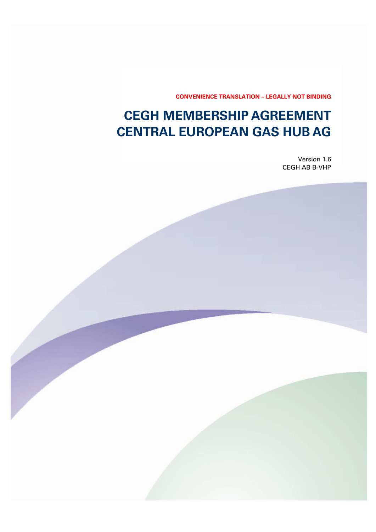**CONVENIENCE TRANSLATION – LEGALLY NOT BINDING**

# **CEGH MEMBERSHIP AGREEMENT CENTRAL EUROPEAN GAS HUB AG**

Version 1.6 CEGH AB B-VHP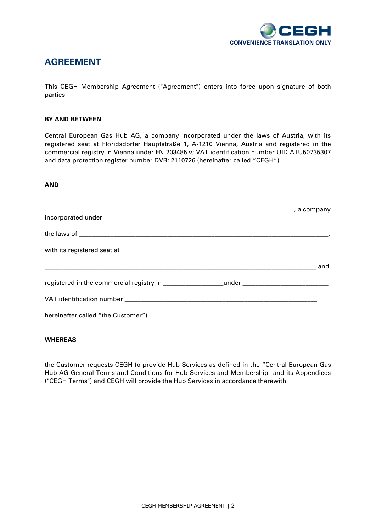

## **AGREEMENT**

This CEGH Membership Agreement ("Agreement") enters into force upon signature of both parties

#### **BY AND BETWEEN**

Central European Gas Hub AG, a company incorporated under the laws of Austria, with its registered seat at Floridsdorfer Hauptstraße 1, A-1210 Vienna, Austria and registered in the commercial registry in Vienna under FN 203485 v; VAT identification number UID ATU50735307 and data protection register number DVR: 2110726 (hereinafter called "CEGH")

#### **AND**

| incorporated under                 |     |
|------------------------------------|-----|
|                                    |     |
| with its registered seat at        |     |
|                                    | and |
|                                    |     |
|                                    |     |
| hereinafter called "the Customer") |     |

### **WHEREAS**

the Customer requests CEGH to provide Hub Services as defined in the "Central European Gas Hub AG General Terms and Conditions for Hub Services and Membership" and its Appendices ("CEGH Terms") and CEGH will provide the Hub Services in accordance therewith.